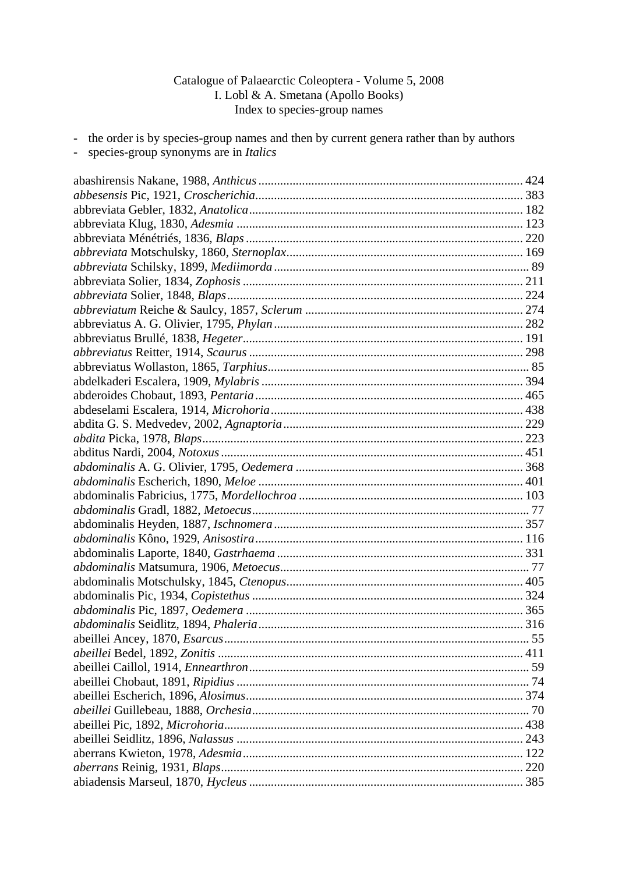## Catalogue of Palaearctic Coleoptera - Volume 5, 2008 I. Lobl & A. Smetana (Apollo Books) Index to species-group names

- the order is by species-group names and then by current genera rather than by authors
- species-group synonyms are in *Italics*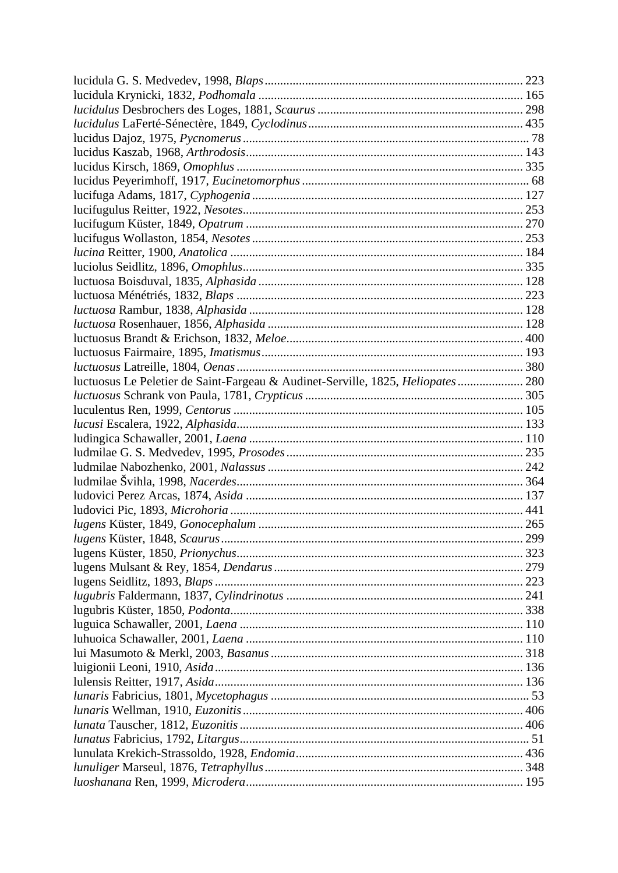| luctuosus Le Peletier de Saint-Fargeau & Audinet-Serville, 1825, Heliopates  280 |  |
|----------------------------------------------------------------------------------|--|
|                                                                                  |  |
|                                                                                  |  |
|                                                                                  |  |
|                                                                                  |  |
|                                                                                  |  |
|                                                                                  |  |
|                                                                                  |  |
|                                                                                  |  |
|                                                                                  |  |
|                                                                                  |  |
|                                                                                  |  |
|                                                                                  |  |
|                                                                                  |  |
|                                                                                  |  |
|                                                                                  |  |
|                                                                                  |  |
|                                                                                  |  |
|                                                                                  |  |
|                                                                                  |  |
|                                                                                  |  |
|                                                                                  |  |
|                                                                                  |  |
|                                                                                  |  |
|                                                                                  |  |
|                                                                                  |  |
|                                                                                  |  |
|                                                                                  |  |
|                                                                                  |  |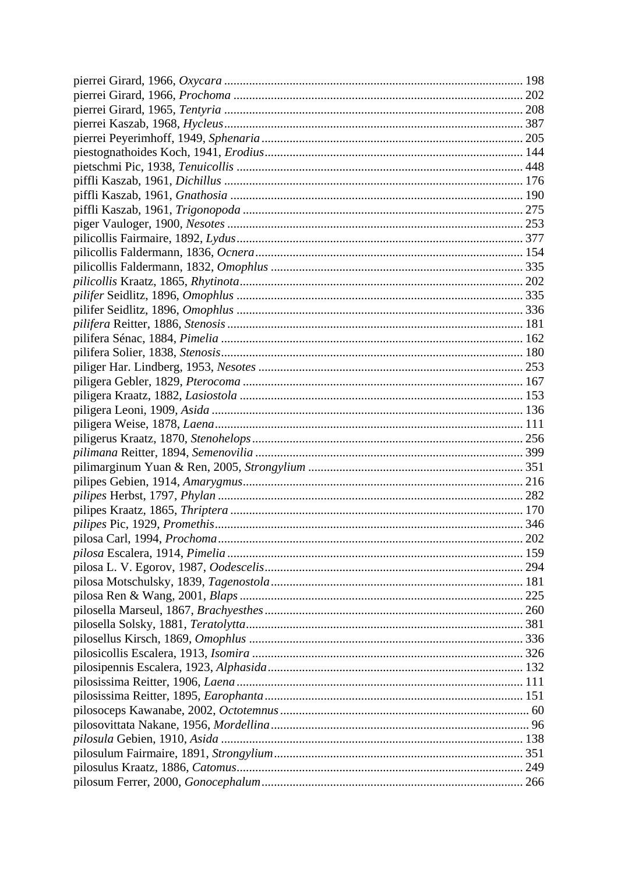| $\cdot$ . 202 |
|---------------|
|               |
|               |
|               |
|               |
|               |
|               |
|               |
|               |
|               |
|               |
|               |
|               |
|               |
|               |
|               |
|               |
|               |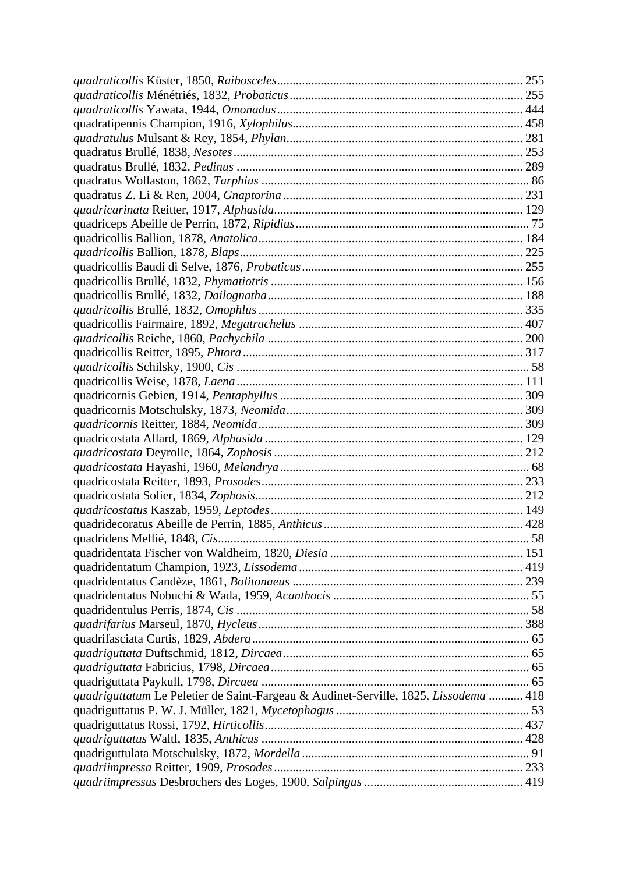| quadriguttatum Le Peletier de Saint-Fargeau & Audinet-Serville, 1825, Lissodema  418 |  |
|--------------------------------------------------------------------------------------|--|
|                                                                                      |  |
|                                                                                      |  |
|                                                                                      |  |
|                                                                                      |  |
|                                                                                      |  |
|                                                                                      |  |
|                                                                                      |  |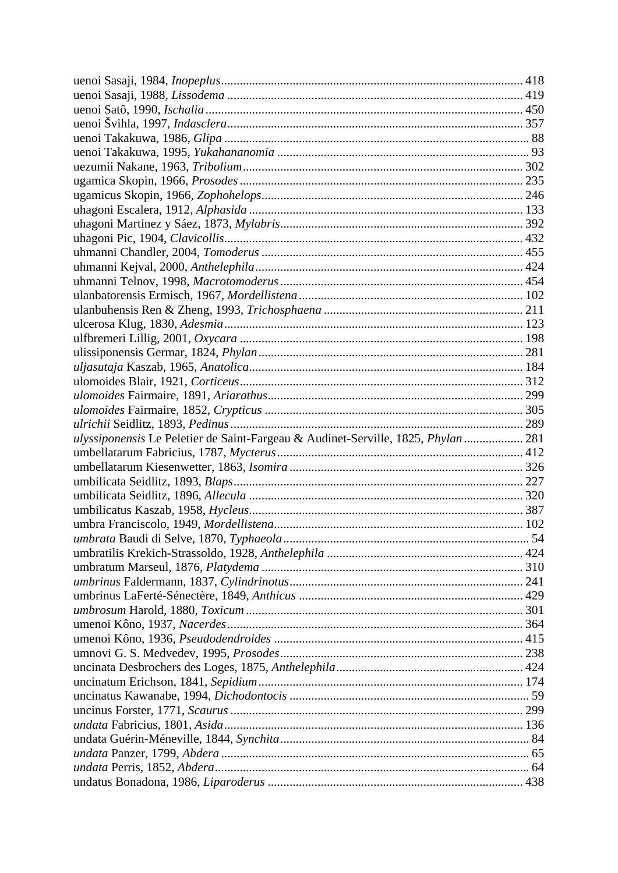| ulyssiponensis Le Peletier de Saint-Fargeau & Audinet-Serville, 1825, Phylan  281 |  |
|-----------------------------------------------------------------------------------|--|
|                                                                                   |  |
|                                                                                   |  |
|                                                                                   |  |
|                                                                                   |  |
|                                                                                   |  |
|                                                                                   |  |
|                                                                                   |  |
|                                                                                   |  |
|                                                                                   |  |
|                                                                                   |  |
|                                                                                   |  |
|                                                                                   |  |
|                                                                                   |  |
|                                                                                   |  |
|                                                                                   |  |
|                                                                                   |  |
|                                                                                   |  |
|                                                                                   |  |
|                                                                                   |  |
|                                                                                   |  |
|                                                                                   |  |
|                                                                                   |  |
|                                                                                   |  |
|                                                                                   |  |